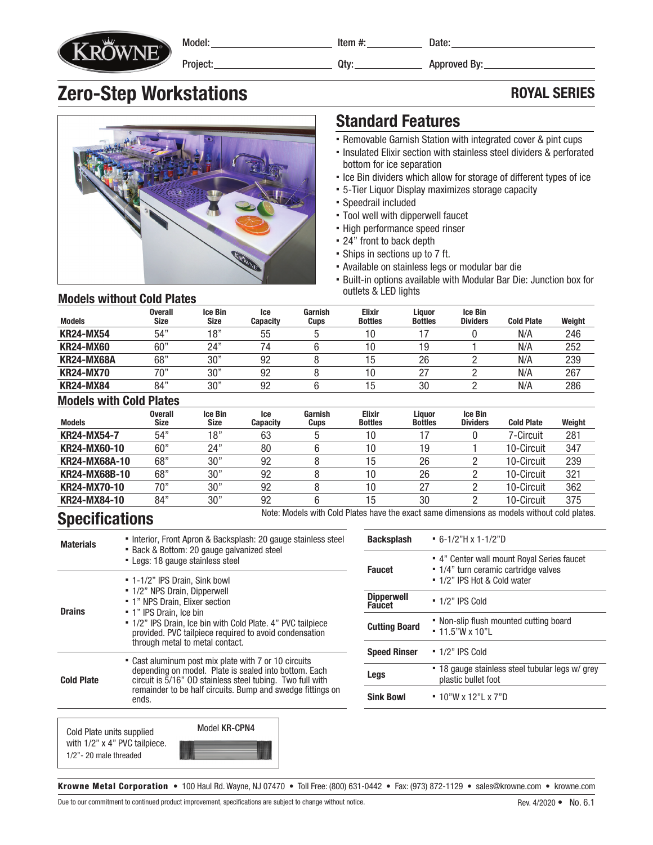

Model: Project: Item #: Date:

Qty: Approved By:

## **Zero-Step Workstations ROYAL SERIES**



### Standard Features

- Removable Garnish Station with integrated cover & pint cups
- Insulated Elixir section with stainless steel dividers & perforated bottom for ice separation
- Ice Bin dividers which allow for storage of different types of ice
- 5-Tier Liquor Display maximizes storage capacity
- Speedrail included
- Tool well with dipperwell faucet
- High performance speed rinser
- 24" front to back depth
- Ships in sections up to 7 ft.
- Available on stainless legs or modular bar die
- Built-in options available with Modular Bar Die: Junction box for outlets & LED lights

#### Models without Cold Plates

| <b>Models</b>     | <b>Overall</b><br><b>Size</b> | Ice Bin<br><b>Size</b> | lce<br><b>Capacity</b> | Garnish<br>Cups | <b>Elixir</b><br><b>Bottles</b> | Liauor<br><b>Bottles</b> | <b>Ice Bin</b><br><b>Dividers</b> | <b>Cold Plate</b> | Weight |
|-------------------|-------------------------------|------------------------|------------------------|-----------------|---------------------------------|--------------------------|-----------------------------------|-------------------|--------|
| <b>KR24-MX54</b>  | 54"                           | 18"                    | 55                     |                 | 10                              |                          |                                   | N/A               | 246    |
| <b>KR24-MX60</b>  | 60"                           | 24"                    | 14                     |                 | 10                              | Ι9                       |                                   | N/A               | 252    |
| <b>KR24-MX68A</b> | 68"                           | 30"                    | 92                     |                 | 5                               | 26                       |                                   | N/A               | 239    |
| <b>KR24-MX70</b>  | 70"                           | 30"                    | 92                     |                 | 10                              |                          |                                   | N/A               | 267    |
| <b>KR24-MX84</b>  | 84"                           | 30"                    | 92                     |                 | 15                              | 30                       |                                   | N/A               | 286    |

#### Models with Cold Plates

| <b>Models</b>      | <b>Overall</b><br>Size | <b>Ice Bin</b><br><b>Size</b> | lce<br><b>Capacity</b> | Garnish<br><b>Cups</b> | <b>Elixir</b><br><b>Bottles</b> | Liauor<br><b>Bottles</b> | <b>Ice Bin</b><br><b>Dividers</b> | <b>Cold Plate</b> | Weight |
|--------------------|------------------------|-------------------------------|------------------------|------------------------|---------------------------------|--------------------------|-----------------------------------|-------------------|--------|
| <b>KR24-MX54-7</b> | 54"                    | 18"                           | 63                     |                        | 10                              |                          |                                   | 7-Circuit         | 281    |
| KR24-MX60-10       | 60"                    | 24"                           | 80                     |                        | 10                              | 19                       |                                   | 10-Circuit        | 347    |
| KR24-MX68A-10      | 68"                    | 30"                           | 92                     |                        | 15                              | 26                       |                                   | 10-Circuit        | 239    |
| KR24-MX68B-10      | 68"                    | 30"                           | 92                     |                        | 10                              | 26                       |                                   | 10-Circuit        | 321    |
| KR24-MX70-10       | 70"                    | 30"                           | 92                     |                        | 10                              | 27                       |                                   | 10-Circuit        | 362    |
| KR24-MX84-10       | 84"                    | 30"                           | 92                     |                        | 15                              | 30                       |                                   | 10-Circuit        | 375    |

## Specifications

Note: Models with Cold Plates have the exact same dimensions as models without cold plates.

| <b>Materials</b>  | • Interior, Front Apron & Backsplash: 20 gauge stainless steel<br>• Back & Bottom: 20 gauge galvanized steel<br>- Legs: 18 gauge stainless steel                                                                                                                                       |
|-------------------|----------------------------------------------------------------------------------------------------------------------------------------------------------------------------------------------------------------------------------------------------------------------------------------|
| <b>Drains</b>     | " 1-1/2" IPS Drain, Sink bowl<br>" 1/2" NPS Drain, Dipperwell<br>• 1" NPS Drain. Elixer section<br>• 1" IPS Drain, Ice bin<br>" 1/2" IPS Drain, Ice bin with Cold Plate. 4" PVC tailpiece<br>provided. PVC tailpiece required to avoid condensation<br>through metal to metal contact. |
| <b>Cold Plate</b> | • Cast aluminum post mix plate with 7 or 10 circuits<br>depending on model. Plate is sealed into bottom. Each<br>circuit is $\frac{5}{16}$ " OD stainless steel tubing. Two full with<br>remainder to be half circuits. Bump and swedge fittings on<br>ends.                           |

Cold Plate units supplied with 1/2" x 4" PVC tailpiece. 1/2"- 20 male threaded



| <b>Backsplash</b>                  | $-6-1/2$ "H x 1-1/2"D                                                                                             |  |  |  |
|------------------------------------|-------------------------------------------------------------------------------------------------------------------|--|--|--|
| <b>Faucet</b>                      | • 4" Center wall mount Royal Series faucet<br>• 1/4" turn ceramic cartridge valves<br>■ 1/2" IPS Hot & Cold water |  |  |  |
| <b>Dipperwell</b><br><b>Faucet</b> | $\cdot$ 1/2" IPS Cold                                                                                             |  |  |  |
| <b>Cutting Board</b>               | • Non-slip flush mounted cutting board<br>$= 11.5"$ W x 10"I                                                      |  |  |  |
| <b>Speed Rinser</b>                | $-1/2"$ IPS Cold                                                                                                  |  |  |  |
| Legs                               | • 18 gauge stainless steel tubular legs w/ grey<br>plastic bullet foot                                            |  |  |  |
| <b>Sink Bowl</b>                   | ■ 10"W x 12"I x 7"D                                                                                               |  |  |  |

Krowne Metal Corporation • 100 Haul Rd. Wayne, NJ 07470 • Toll Free: (800) 631-0442 • Fax: (973) 872-1129 • sales@krowne.com • krowne.com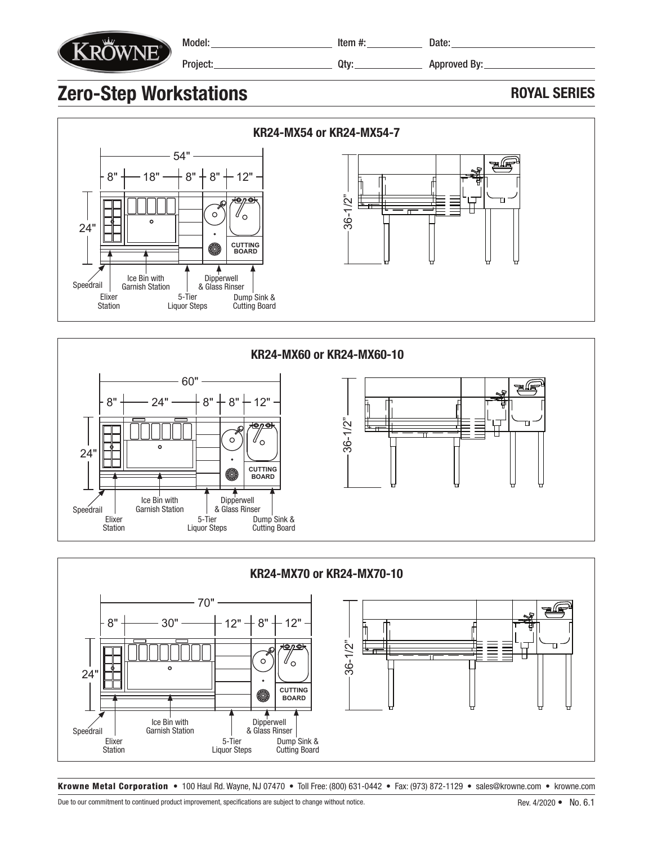

Model: Project: Item #: Date:

Qty: Approved By:

# **Zero-Step Workstations** ROYAL SERIES







Krowne Metal Corporation • 100 Haul Rd. Wayne, NJ 07470 • Toll Free: (800) 631-0442 • Fax: (973) 872-1129 • sales@krowne.com • krowne.com